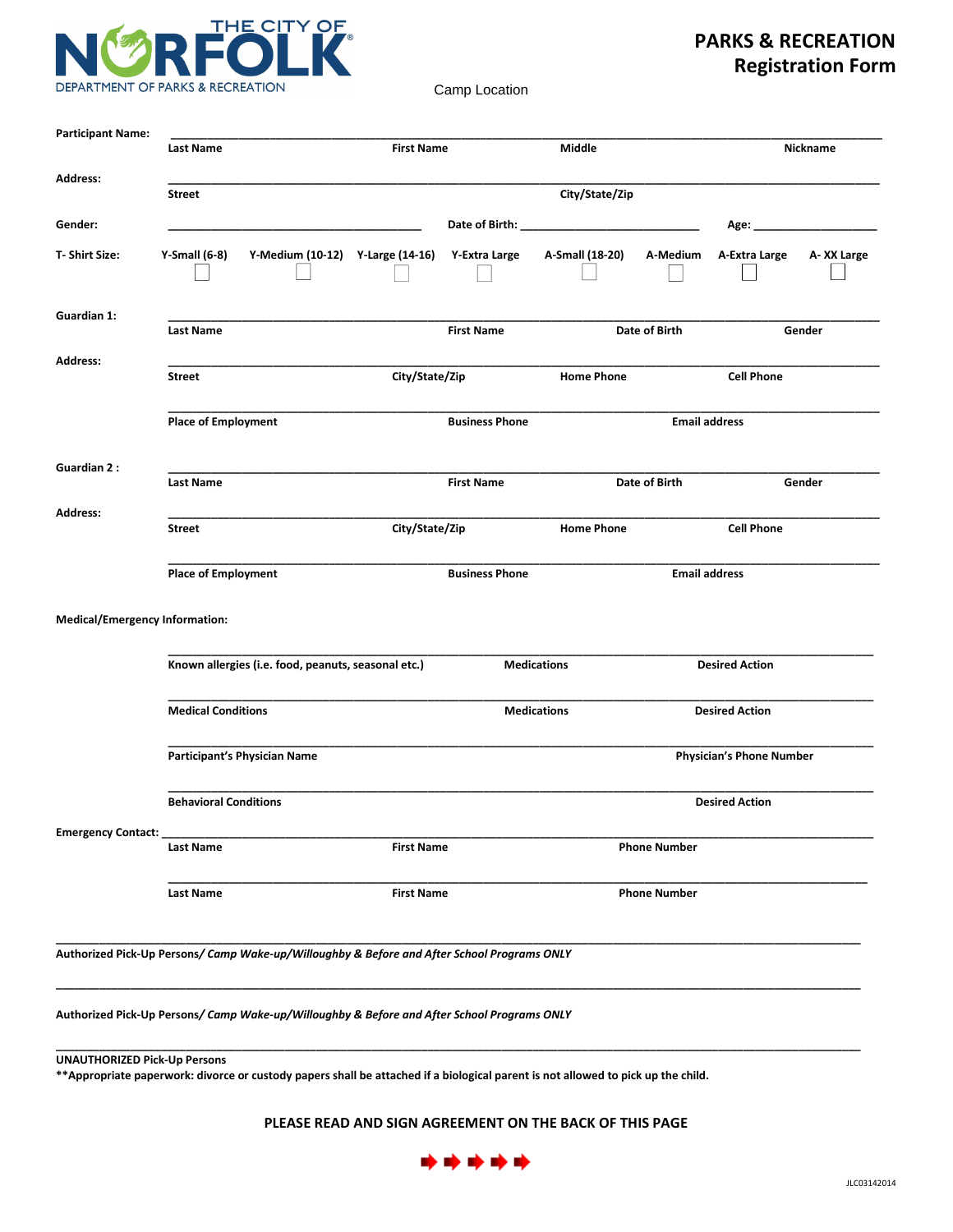

## **PARKS & RECREATION Registration Form**

Camp Location

|                                       | Last Name                    |                                                     | <b>First Name</b> |                                                                                             | Middle             |                     |                                 | Nickname   |
|---------------------------------------|------------------------------|-----------------------------------------------------|-------------------|---------------------------------------------------------------------------------------------|--------------------|---------------------|---------------------------------|------------|
| <b>Address:</b>                       | <b>Street</b>                |                                                     |                   |                                                                                             | City/State/Zip     |                     |                                 |            |
| Gender:                               |                              |                                                     |                   |                                                                                             |                    |                     | Age: ________________________   |            |
| T-Shirt Size:                         | Y-Small $(6-8)$              | Y-Medium (10-12) Y-Large (14-16) Y-Extra Large      |                   |                                                                                             | A-Small (18-20)    | A-Medium            | A-Extra Large                   | A-XX Large |
| Guardian 1:                           | Last Name                    |                                                     |                   | <b>First Name</b>                                                                           |                    | Date of Birth       |                                 | Gender     |
| <b>Address:</b>                       | <b>Street</b>                |                                                     | City/State/Zip    |                                                                                             | <b>Home Phone</b>  |                     | <b>Cell Phone</b>               |            |
|                                       | <b>Place of Employment</b>   |                                                     |                   | <b>Business Phone</b>                                                                       |                    |                     | <b>Email address</b>            |            |
| <b>Guardian 2:</b>                    | Last Name                    |                                                     |                   | <b>First Name</b>                                                                           |                    | Date of Birth       |                                 | Gender     |
| <b>Address:</b>                       | Street                       |                                                     | City/State/Zip    |                                                                                             | <b>Home Phone</b>  |                     | <b>Cell Phone</b>               |            |
|                                       | <b>Place of Employment</b>   |                                                     |                   | <b>Business Phone</b>                                                                       |                    |                     | <b>Email address</b>            |            |
| <b>Medical/Emergency Information:</b> |                              |                                                     |                   |                                                                                             |                    |                     |                                 |            |
|                                       |                              | Known allergies (i.e. food, peanuts, seasonal etc.) |                   |                                                                                             | <b>Medications</b> |                     | <b>Desired Action</b>           |            |
|                                       | <b>Medical Conditions</b>    |                                                     |                   |                                                                                             | <b>Medications</b> |                     | <b>Desired Action</b>           |            |
|                                       | Participant's Physician Name |                                                     |                   |                                                                                             |                    |                     | <b>Physician's Phone Number</b> |            |
|                                       | <b>Behavioral Conditions</b> |                                                     |                   |                                                                                             |                    |                     | <b>Desired Action</b>           |            |
| <b>Emergency Contact:</b>             | Last Name                    |                                                     | <b>First Name</b> |                                                                                             |                    | <b>Phone Number</b> |                                 |            |
|                                       | Last Name                    |                                                     | <b>First Name</b> |                                                                                             |                    | <b>Phone Number</b> |                                 |            |
|                                       |                              |                                                     |                   | Authorized Pick-Up Persons/ Camp Wake-up/Willoughby & Before and After School Programs ONLY |                    |                     |                                 |            |

**UNAUTHORIZED Pick-Up Persons** 

\*\* Appropriate paperwork: divorce or custody papers shall be attached if a biological parent is not allowed to pick up the child.

**PLEASE READ AND SIGN AGREEMENT ON THE BACK OF THIS PAGE** 

**\_\_\_\_\_\_\_\_\_\_\_\_\_\_\_\_\_\_\_\_\_\_\_\_\_\_\_\_\_\_\_\_\_\_\_\_\_\_\_\_\_\_\_\_\_\_\_\_\_\_\_\_\_\_\_\_\_\_\_\_\_\_\_\_\_\_\_\_\_\_\_\_\_\_\_\_\_\_\_\_\_\_\_\_\_\_\_\_\_\_\_\_\_\_\_\_\_\_\_\_\_\_\_\_\_\_\_\_\_\_\_\_\_\_\_\_\_\_\_\_\_\_\_\_\_\_\_\_\_\_**

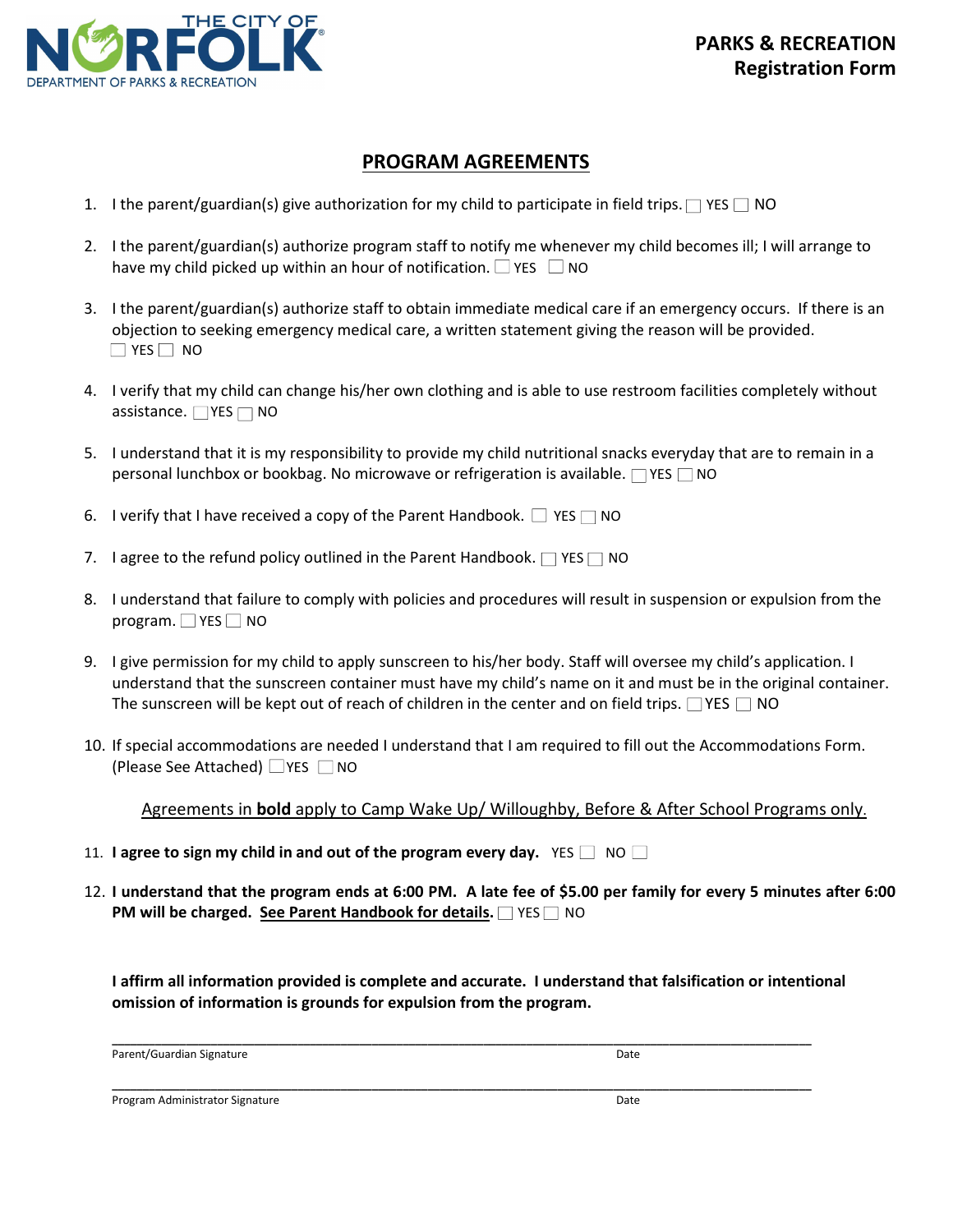

### **PROGRAM AGREEMENTS**

- 1. I the parent/guardian(s) give authorization for my child to participate in field trips.  $\Box$  YES  $\Box$  NO
- 2. I the parent/guardian(s) authorize program staff to notify me whenever my child becomes ill; I will arrange to have my child picked up within an hour of notification.  $\Box$  YES  $\Box$  NO
- 3. I the parent/guardian(s) authorize staff to obtain immediate medical care if an emergency occurs. If there is an objection to seeking emergency medical care, a written statement giving the reason will be provided.  $\Box$  YES  $\Box$  NO
- 4. I verify that my child can change his/her own clothing and is able to use restroom facilities completely without assistance.  $\Box$  YES  $\Box$  NO
- 5. I understand that it is my responsibility to provide my child nutritional snacks everyday that are to remain in a personal lunchbox or bookbag. No microwave or refrigeration is available.  $\Box$  YES  $\Box$  NO
- 6. I verify that I have received a copy of the Parent Handbook.  $\Box$  YES  $\Box$  NO
- 7. I agree to the refund policy outlined in the Parent Handbook.  $\Box$  YES  $\Box$  NO
- 8. I understand that failure to comply with policies and procedures will result in suspension or expulsion from the program.  $\Box$  YES  $\Box$  NO
- 9. I give permission for my child to apply sunscreen to his/her body. Staff will oversee my child's application. I understand that the sunscreen container must have my child's name on it and must be in the original container. The sunscreen will be kept out of reach of children in the center and on field trips.  $\Box$  YES  $\Box$  NO
- 10. If special accommodations are needed I understand that I am required to fill out the Accommodations Form. (Please See Attached)  $\Box$  YES  $\Box$  NO

Agreements in **bold** apply to Camp Wake Up/Willoughby, Before & After School Programs only.

- 11. **I** agree to sign my child in and out of the program every day. YES  $\Box$  NO  $\Box$
- 12. I understand that the program ends at 6:00 PM. A late fee of \$5.00 per family for every 5 minutes after 6:00 **PM will be charged. See Parent Handbook for details.** YES NO

**I** affirm all information provided is complete and accurate. I understand that falsification or intentional **omission of information is grounds for expulsion from the program.** 

**\_\_\_\_\_\_\_\_\_\_\_\_\_\_\_\_\_\_\_\_\_\_\_\_\_\_\_\_\_\_\_\_\_\_\_\_\_\_\_\_\_\_\_\_\_\_\_\_\_\_\_\_\_\_\_\_\_\_\_\_\_\_\_\_\_\_\_\_\_\_\_\_\_\_\_\_\_\_\_\_\_\_\_\_\_\_\_\_\_\_\_\_\_\_\_\_\_\_\_\_\_\_\_\_\_\_\_\_\_\_\_\_\_**

**\_\_\_\_\_\_\_\_\_\_\_\_\_\_\_\_\_\_\_\_\_\_\_\_\_\_\_\_\_\_\_\_\_\_\_\_\_\_\_\_\_\_\_\_\_\_\_\_\_\_\_\_\_\_\_\_\_\_\_\_\_\_\_\_\_\_\_\_\_\_\_\_\_\_\_\_\_\_\_\_\_\_\_\_\_\_\_\_\_\_\_\_\_\_\_\_\_\_\_\_\_\_\_\_\_\_\_\_\_\_\_\_\_**

P arent/GuardianS ignature Date

Program Administrator Signature **Date of American Control Control Control** Date Date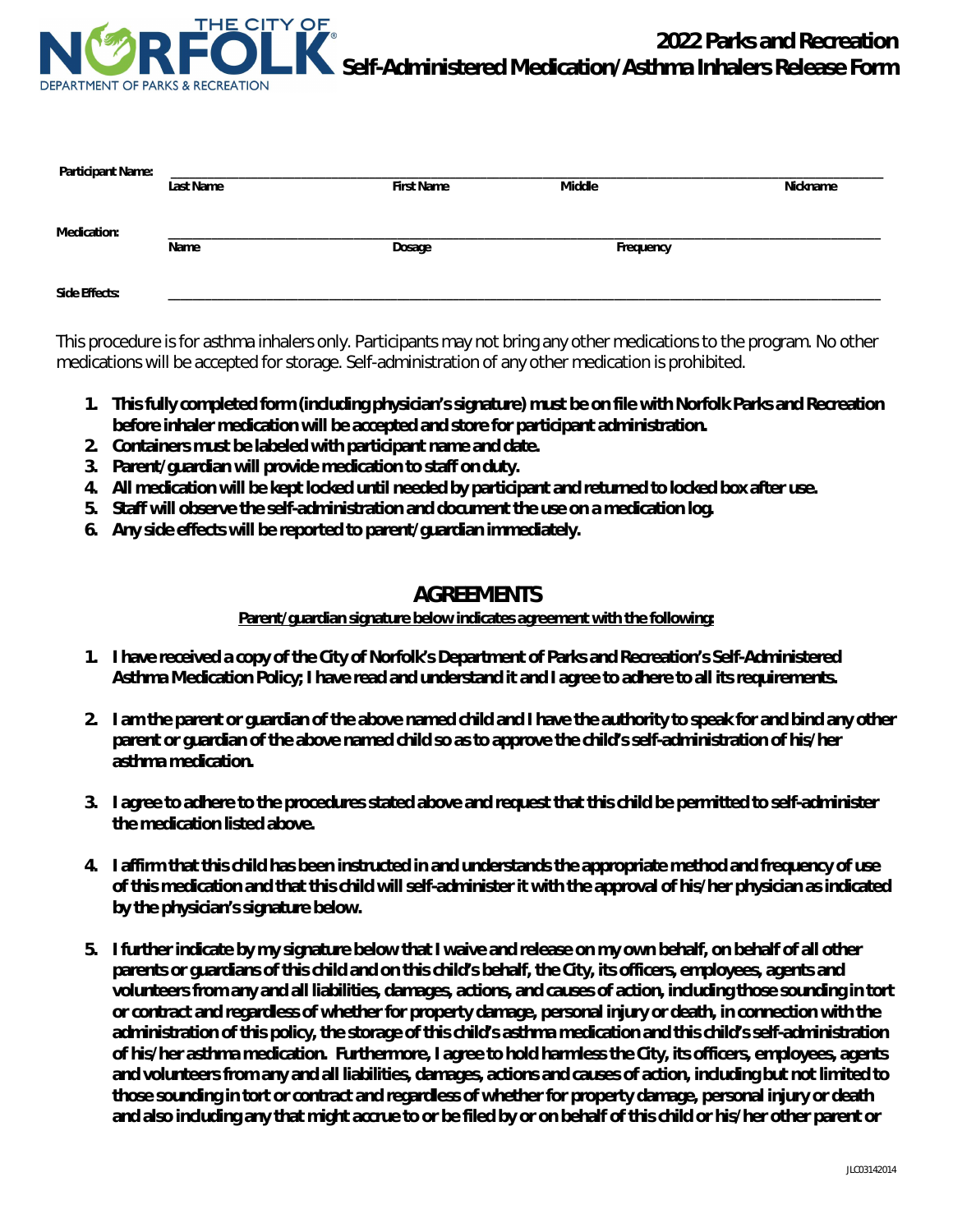

| <b>Participant Name:</b> | <b>Last Name</b> | <b>First Name</b> | Middle    | <b>Nickname</b> |
|--------------------------|------------------|-------------------|-----------|-----------------|
| <b>Medication:</b>       | Name             | Dosage            | Frequency |                 |
| <b>Side Effects:</b>     |                  |                   |           |                 |

This procedure is for asthma inhalers only. Participants may not bring any other medications to the program. No other medications will be accepted for storage. Self-administration of any other medication is prohibited.

- **1. This fully completed form (including physician's signature) must be on file with Norfolk Parks and Recreation before inhaler medication will be accepted and store for participant administration.**
- **2. Containers must be labeled with participant name and date.**
- **3. Parent/guardian will provide medication to staff on duty.**
- **4. All medication will be kept locked until needed by participant and returned to locked box after use.**
- **5. Staff will observe the self-administration and document the use on a medication log.**
- **6. Any side effects will be reported to parent/guardian immediately.**

### **AGREEMENTS**

**Parent/guardian signature below indicates agreement with the following:** 

- **1. I have received a copy of the City of Norfolk's Department of Parks and Recreation's Self-Administered Asthma Medication Policy; I have read and understand it and I agree to adhere to all its requirements.**
- **2. I am the parent or guardian of the above named child and I have the authority to speak for and bind any other parent or guardian of the above named child so as to approve the child's self-administration of his/her asthma medication.**
- **3. I agree to adhere to the procedures stated above and request that this child be permitted to self-administer the medication listed above.**
- **4. I affirm that this child has been instructed in and understands the appropriate method and frequency of use of this medication and that this child will self-administer it with the approval of his/her physician as indicated by the physician's signature below.**
- **5. I further indicate by my signature below that I waive and release on my own behalf, on behalf of all other parents or guardians of this child and on this child's behalf, the City, its officers, employees, agents and volunteers from any and all liabilities, damages, actions, and causes of action, including those sounding in tort or contract and regardless of whether for property damage, personal injury or death, in connection with the administration of this policy, the storage of this child's asthma medication and this child's self-administration of his/her asthma medication. Furthermore, I agree to hold harmless the City, its officers, employees, agents and volunteers from any and all liabilities, damages, actions and causes of action, including but not limited to those sounding in tort or contract and regardless of whether for property damage, personal injury or death and also including any that might accrue to or be filed by or on behalf of this child or his/her other parent or**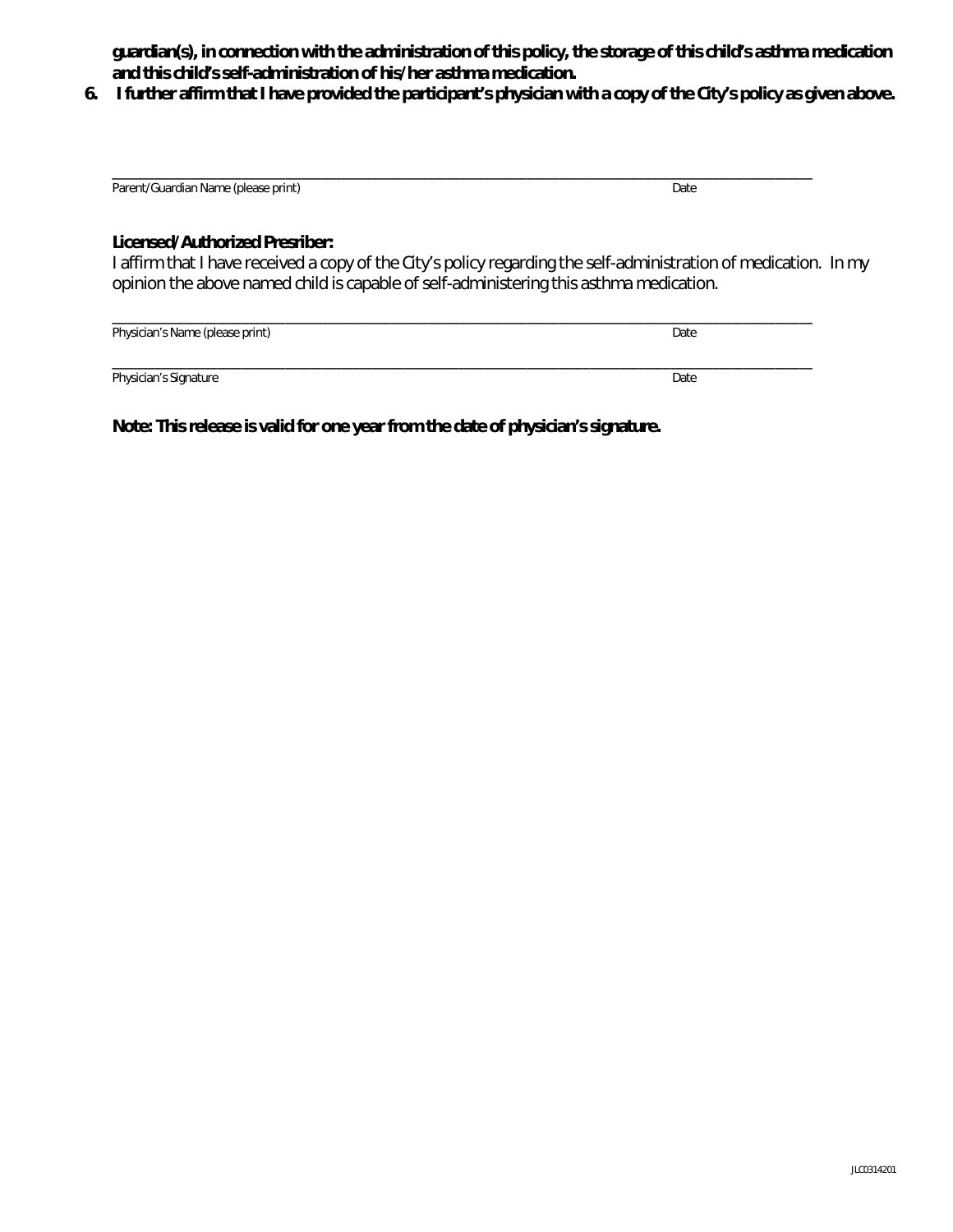**guardian(s), in connection with the administration of this policy, the storage of this child's asthma medication and this child's self-administration of his/her asthma medication.** 

**6. I further affirm that I have provided the participant's physician with a copy of the City's policy as given above.** 

| Parent/Guardian Name (please print) | Date |
|-------------------------------------|------|

#### **Licensed/Authorized Presriber:**

I affirm that I have received a copy of the City's policy regarding the self-administration of medication. In my opinion the above named child is capable of self-administering this asthma medication.

| Physician's Name (please print) | Date |
|---------------------------------|------|
| Physician's Signature           | Date |

**Note: This release is valid for one year from the date of physician's signature.**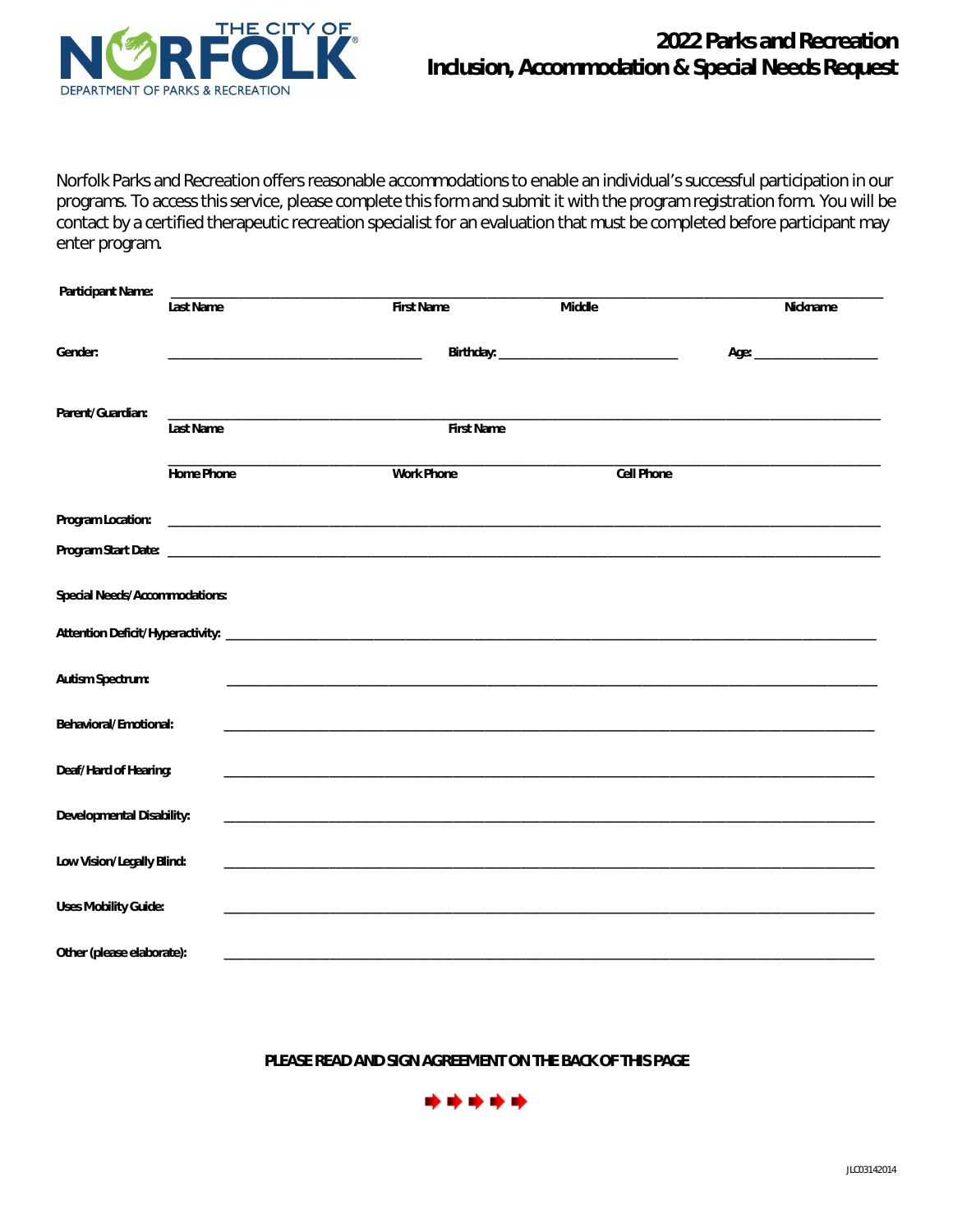

Norfolk Parks and Recreation offers reasonable accommodations to enable an individual's successful participation in our programs. To access this service, please complete this form and submit it with the program registration form. You will be contact by a certified therapeutic recreation specialist for an evaluation that must be completed before participant may enter program.

| <b>Participant Name:</b>             | <b>Last Name</b>  | <b>First Name</b>                                                                                                      | <b>Middle</b>     | <b>Nickname</b> |
|--------------------------------------|-------------------|------------------------------------------------------------------------------------------------------------------------|-------------------|-----------------|
| Gender:                              |                   |                                                                                                                        |                   |                 |
| Parent/Guardian:                     | <b>Last Name</b>  | <b>First Name</b>                                                                                                      |                   |                 |
|                                      | <b>Home Phone</b> | <b>Work Phone</b>                                                                                                      | <b>Cell Phone</b> |                 |
| <b>Program Location:</b>             |                   |                                                                                                                        |                   |                 |
|                                      |                   |                                                                                                                        |                   |                 |
| <b>Special Needs/Accommodations:</b> |                   |                                                                                                                        |                   |                 |
|                                      |                   |                                                                                                                        |                   |                 |
| <b>Autism Spectrum:</b>              |                   |                                                                                                                        |                   |                 |
| <b>Behavioral/Emotional:</b>         |                   |                                                                                                                        |                   |                 |
| Deaf/Hard of Hearing:                |                   |                                                                                                                        |                   |                 |
| <b>Developmental Disability:</b>     |                   | <u> 1989 - Johann Stein, marwolaethau a bhann an t-Amhain ann an t-Amhain an t-Amhain an t-Amhain an t-Amhain an </u>  |                   |                 |
| Low Vision/Legally Blind:            |                   | <u> 1989 - Johann Stein, marwolaethau a bhann an t-Amhain an t-Amhain an t-Amhain an t-Amhain an t-Amhain an t-Amh</u> |                   |                 |
| <b>Uses Mobility Guide:</b>          |                   |                                                                                                                        |                   |                 |
| Other (please elaborate):            |                   |                                                                                                                        |                   |                 |

**PLEASE READ AND SIGN AGREEMENT ON THE BACK OF THIS PAGE** 

\*\*\*\*\*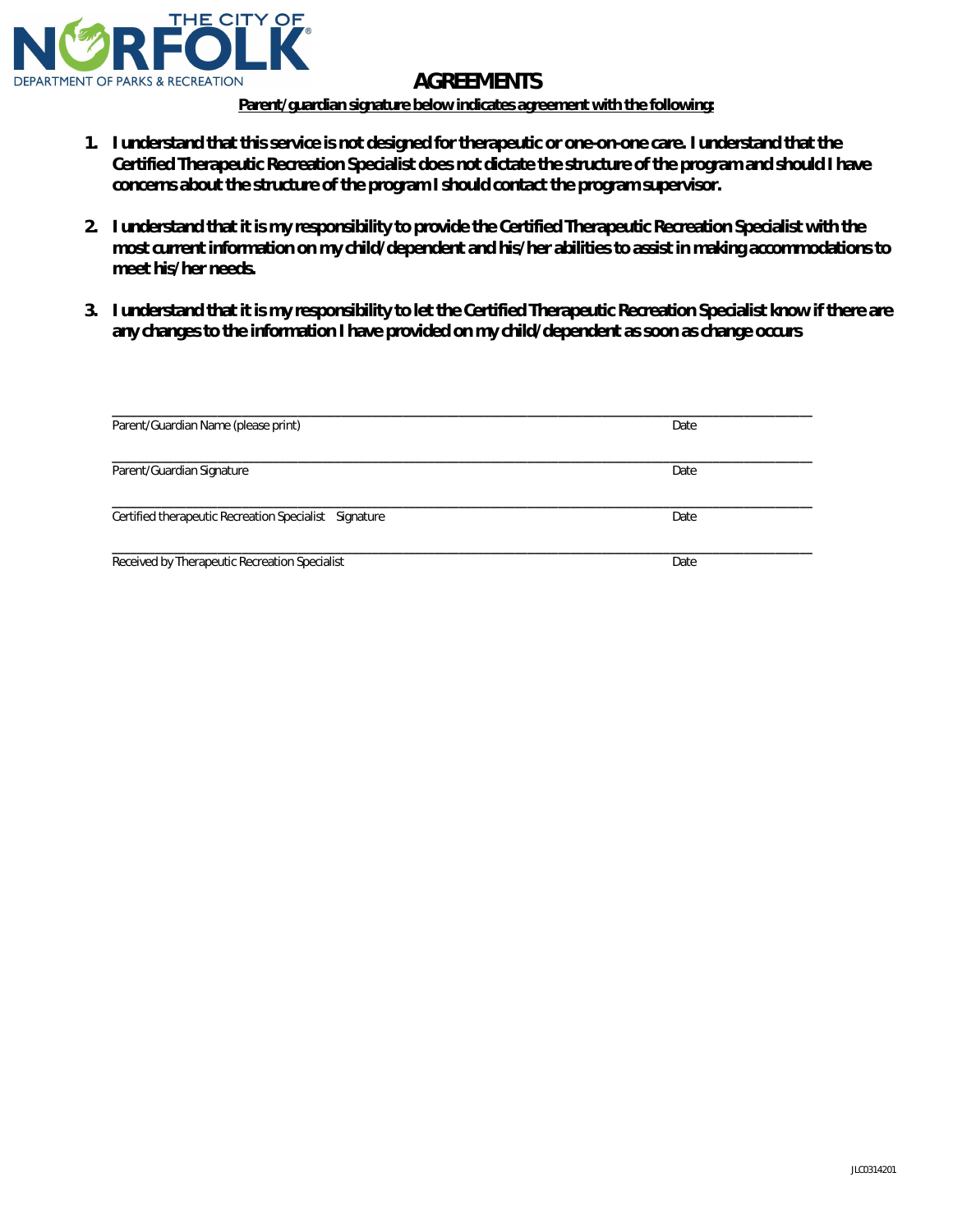

## **AGREEMENTS**

**Parent/guardian signature below indicates agreement with the following:** 

- **1. I understand that this service is not designed for therapeutic or one-on-one care. I understand that the Certified Therapeutic Recreation Specialist does not dictate the structure of the program and should I have concerns about the structure of the program I should contact the program supervisor.**
- **2. I understand that it is my responsibility to provide the Certified Therapeutic Recreation Specialist with the most current information on my child/dependent and his/her abilities to assist in making accommodations to meet his/her needs.**
- **3. I understand that it is my responsibility to let the Certified Therapeutic Recreation Specialist know if there are any changes to the information I have provided on my child/dependent as soon as change occurs**

| Parent/Guardian Name (please print)                   | Date |
|-------------------------------------------------------|------|
| Parent/Guardian Signature                             | Date |
| Certified therapeutic Recreation Specialist Signature | Date |
| Received by Therapeutic Recreation Specialist         | Date |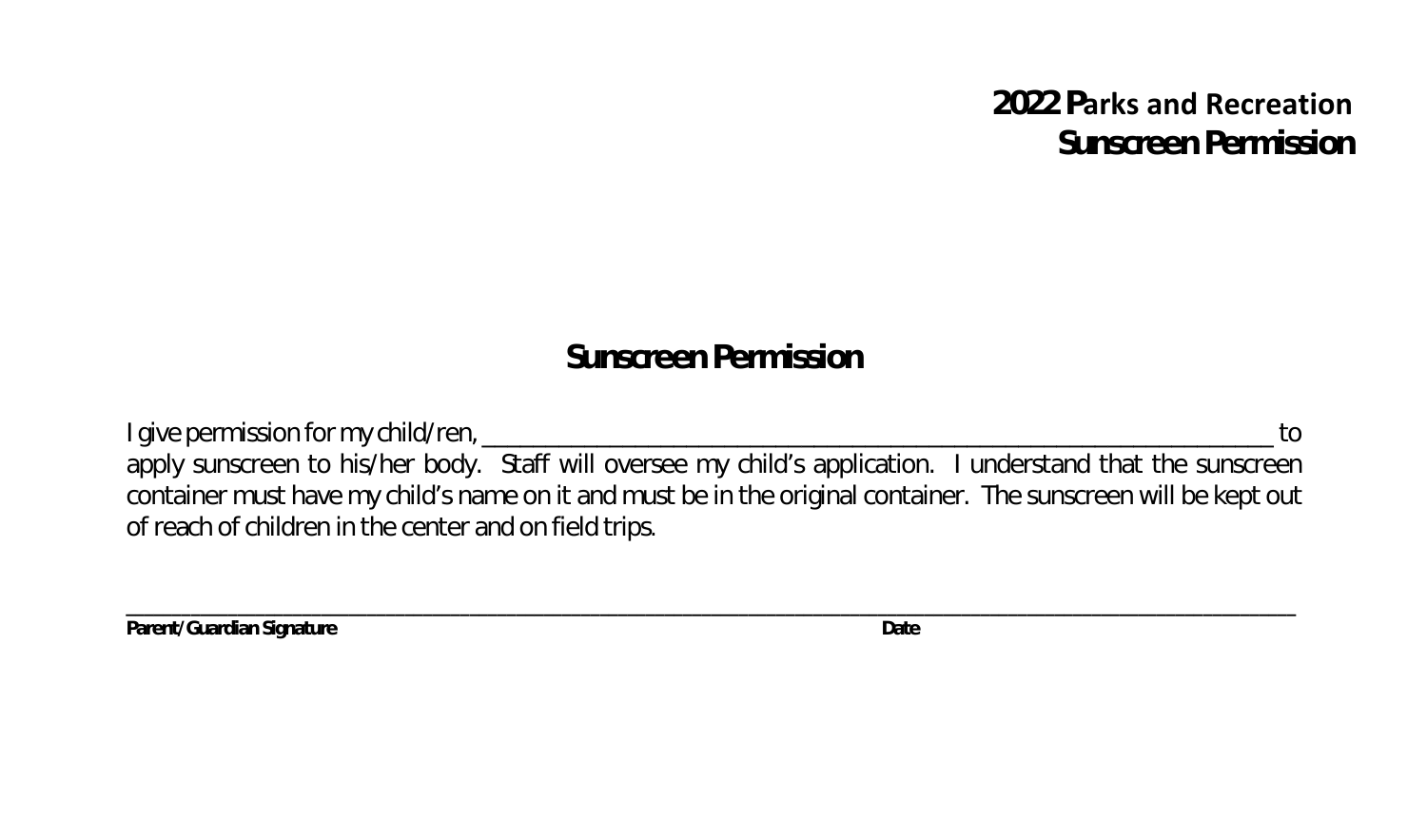## **2022 Parks and Recreation Sunscreen Permission**

## **Sunscreen Permission**

I give permission for my child/ren, \_\_\_\_\_\_\_\_\_\_\_\_\_\_\_\_\_\_\_\_\_\_\_\_\_\_\_\_\_\_\_\_\_\_\_\_\_\_\_\_\_\_\_\_\_\_\_\_\_\_\_\_\_\_\_\_\_\_\_\_\_\_ to apply sunscreen to his/her body. Staff will oversee my child's application. I understand that the sunscreen container must have my child's name on it and must be in the original container. The sunscreen will be kept out of reach of children in the center and on field trips.

**\_\_\_\_\_\_\_\_\_\_\_\_\_\_\_\_\_\_\_\_\_\_\_\_\_\_\_\_\_\_\_\_\_\_\_\_\_\_\_\_\_\_\_\_\_\_\_\_\_\_\_\_\_\_\_\_\_\_\_\_\_\_\_\_\_\_\_\_\_\_\_\_\_\_\_\_\_\_\_\_\_\_\_\_\_\_\_\_\_\_\_\_\_\_\_\_\_\_\_\_\_\_\_\_\_\_\_\_\_\_\_\_\_\_\_\_\_\_\_\_\_\_\_\_\_\_**

**Parent/Guardian Signature Date**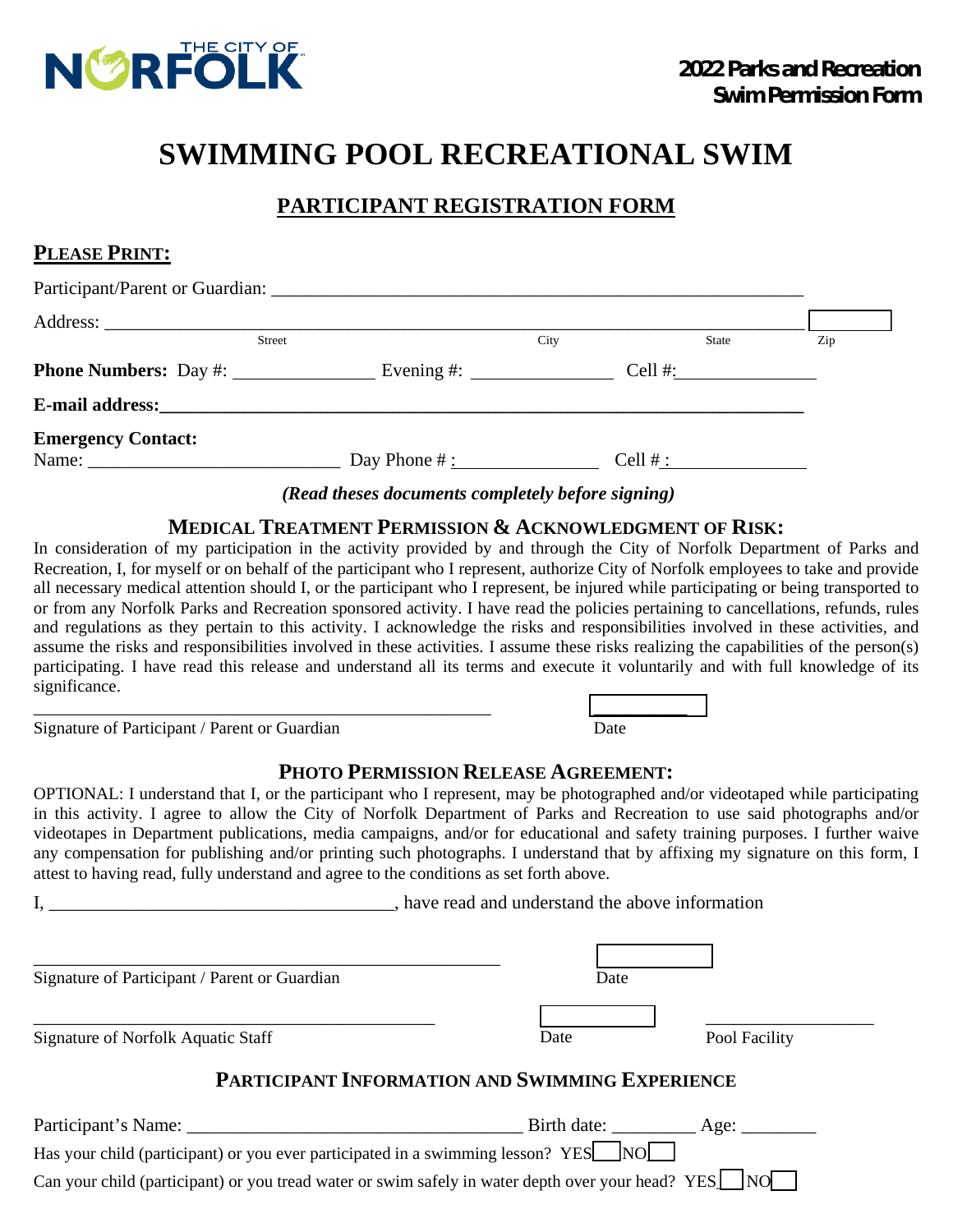

## **SWIMMING POOL RECREATIONAL SWIM**

## **PARTICIPANT REGISTRATION FORM**

| PLEASE PRINT:                                                                                                                                                                                                                  |      |                               |     |
|--------------------------------------------------------------------------------------------------------------------------------------------------------------------------------------------------------------------------------|------|-------------------------------|-----|
|                                                                                                                                                                                                                                |      |                               |     |
| <b>Street</b>                                                                                                                                                                                                                  | City | State                         | Zip |
|                                                                                                                                                                                                                                |      |                               |     |
| E-mail address: the contract of the contract of the contract of the contract of the contract of the contract of the contract of the contract of the contract of the contract of the contract of the contract of the contract o |      |                               |     |
| <b>Emergency Contact:</b>                                                                                                                                                                                                      |      | Cell # : $\frac{2}{\sqrt{2}}$ |     |

### *(Read theses documents completely before signing)*

### **MEDICAL TREATMENT PERMISSION & ACKNOWLEDGMENT OF RISK:**

In consideration of my participation in the activity provided by and through the City of Norfolk Department of Parks and Recreation, I, for myself or on behalf of the participant who I represent, authorize City of Norfolk employees to take and provide all necessary medical attention should I, or the participant who I represent, be injured while participating or being transported to or from any Norfolk Parks and Recreation sponsored activity. I have read the policies pertaining to cancellations, refunds, rules and regulations as they pertain to this activity. I acknowledge the risks and responsibilities involved in these activities, and assume the risks and responsibilities involved in these activities. I assume these risks realizing the capabilities of the person(s) participating. I have read this release and understand all its terms and execute it voluntarily and with full knowledge of its significance.

Signature of Participant / Parent or Guardian

\_\_\_\_\_\_\_\_\_\_\_\_\_\_\_\_\_\_\_\_\_\_\_\_\_\_\_\_\_\_\_\_\_\_\_\_\_\_\_\_\_\_\_\_\_\_\_\_\_

## **PHOTO PERMISSION RELEASE AGREEMENT:**

\_\_\_\_\_\_\_\_\_\_

Date

OPTIONAL: I understand that I, or the participant who I represent, may be photographed and/or videotaped while participating in this activity. I agree to allow the City of Norfolk Department of Parks and Recreation to use said photographs and/or videotapes in Department publications, media campaigns, and/or for educational and safety training purposes. I further waive any compensation for publishing and/or printing such photographs. I understand that by affixing my signature on this form, I attest to having read, fully understand and agree to the conditions as set forth above.

I, \_\_\_\_\_\_\_\_\_\_\_\_\_\_\_\_\_\_\_\_\_\_\_\_\_\_\_\_\_\_\_\_, have read and understand the above information

\_\_\_\_\_\_\_\_\_\_\_\_\_\_\_\_\_\_\_\_\_\_\_\_\_\_\_\_\_\_\_\_\_\_\_\_\_\_\_\_\_\_\_\_\_\_\_\_\_\_ Signature of Participant / Parent or Guardian  $\overline{\phantom{a}}$  , and the contract of the contract of the contract of the contract of the contract of the contract of the contract of the contract of the contract of the contract of the contract of the contract of the contrac Signature of Norfolk Aquatic Staff Date Date Pool Facility **PARTICIPANT INFORMATION AND SWIMMING EXPERIENCE** Participant's Name: \_\_\_\_\_\_\_\_\_\_\_\_\_\_\_\_\_\_\_\_\_\_\_\_\_\_\_\_\_\_\_\_\_\_\_\_ Birth date: \_\_\_\_\_\_\_\_\_ Age: \_\_\_\_\_\_\_\_ Has your child (participant) or you ever participated in a swimming lesson? YES $\Box$  NO $\Box$ Date Date

Can your child (participant) or you tread water or swim safely in water depth over your head? YES\_NO\_\_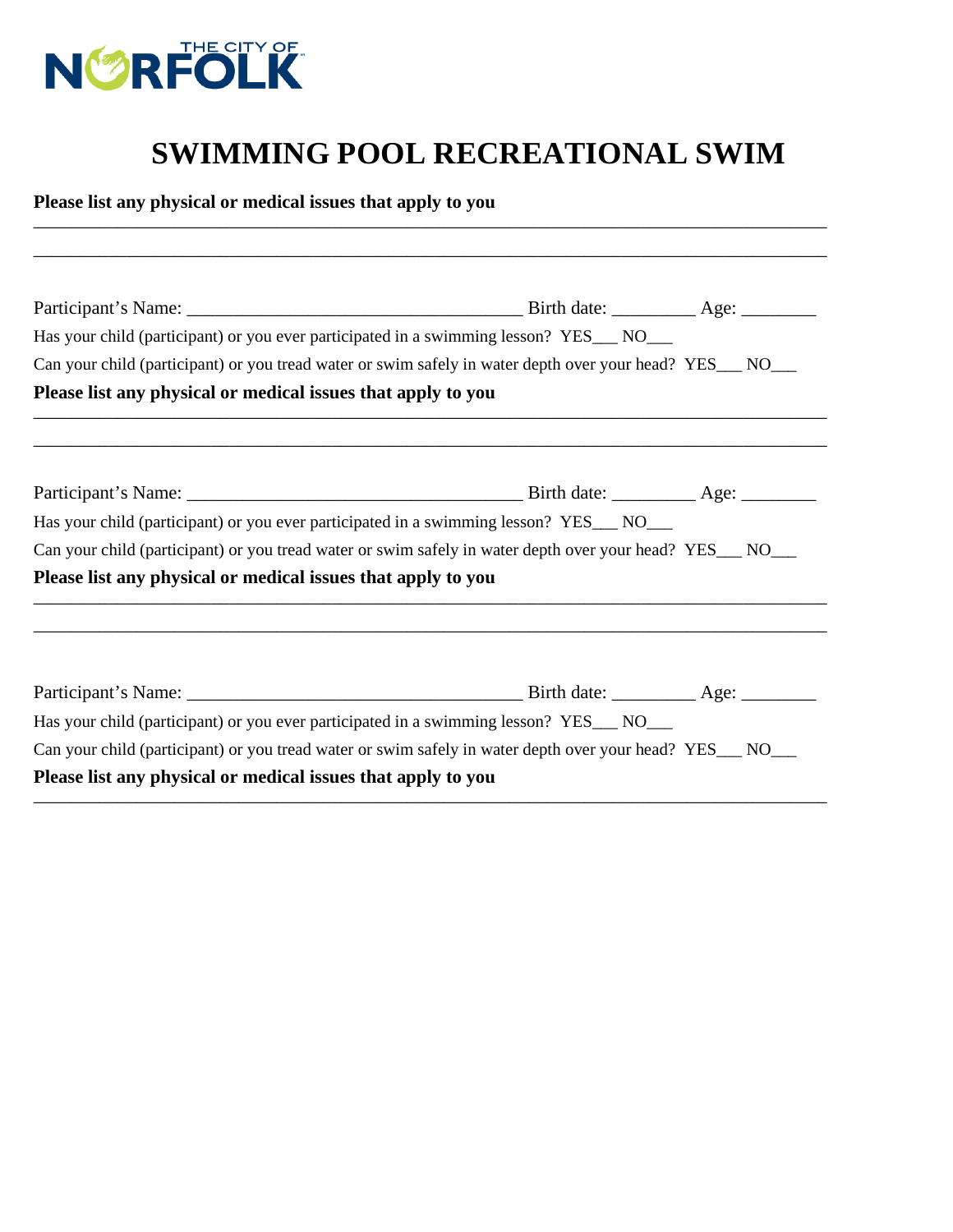

# **SWIMMING POOL RECREATIONAL SWIM**

**Please list any physical or medical issues that apply to you**  \_\_\_\_\_\_\_\_\_\_\_\_\_\_\_\_\_\_\_\_\_\_\_\_\_\_\_\_\_\_\_\_\_\_\_\_\_\_\_\_\_\_\_\_\_\_\_\_\_\_\_\_\_\_\_\_\_\_\_\_\_\_\_\_\_\_\_\_\_\_\_\_\_\_\_\_\_\_\_\_\_\_\_\_\_

|                                                              | Has your child (participant) or you ever participated in a swimming lesson? YES__ NO__                     |
|--------------------------------------------------------------|------------------------------------------------------------------------------------------------------------|
|                                                              | Can your child (participant) or you tread water or swim safely in water depth over your head? YES___ NO___ |
| Please list any physical or medical issues that apply to you |                                                                                                            |
|                                                              |                                                                                                            |
|                                                              |                                                                                                            |
|                                                              | Has your child (participant) or you ever participated in a swimming lesson? YES___ NO___                   |
|                                                              | Can your child (participant) or you tread water or swim safely in water depth over your head? YES_NO__     |
| Please list any physical or medical issues that apply to you |                                                                                                            |
|                                                              |                                                                                                            |
|                                                              |                                                                                                            |
|                                                              | Has your child (participant) or you ever participated in a swimming lesson? YES__ NO__                     |
|                                                              | Can your child (participant) or you tread water or swim safely in water depth over your head? YES__ NO__   |
| Please list any physical or medical issues that apply to you |                                                                                                            |
|                                                              |                                                                                                            |